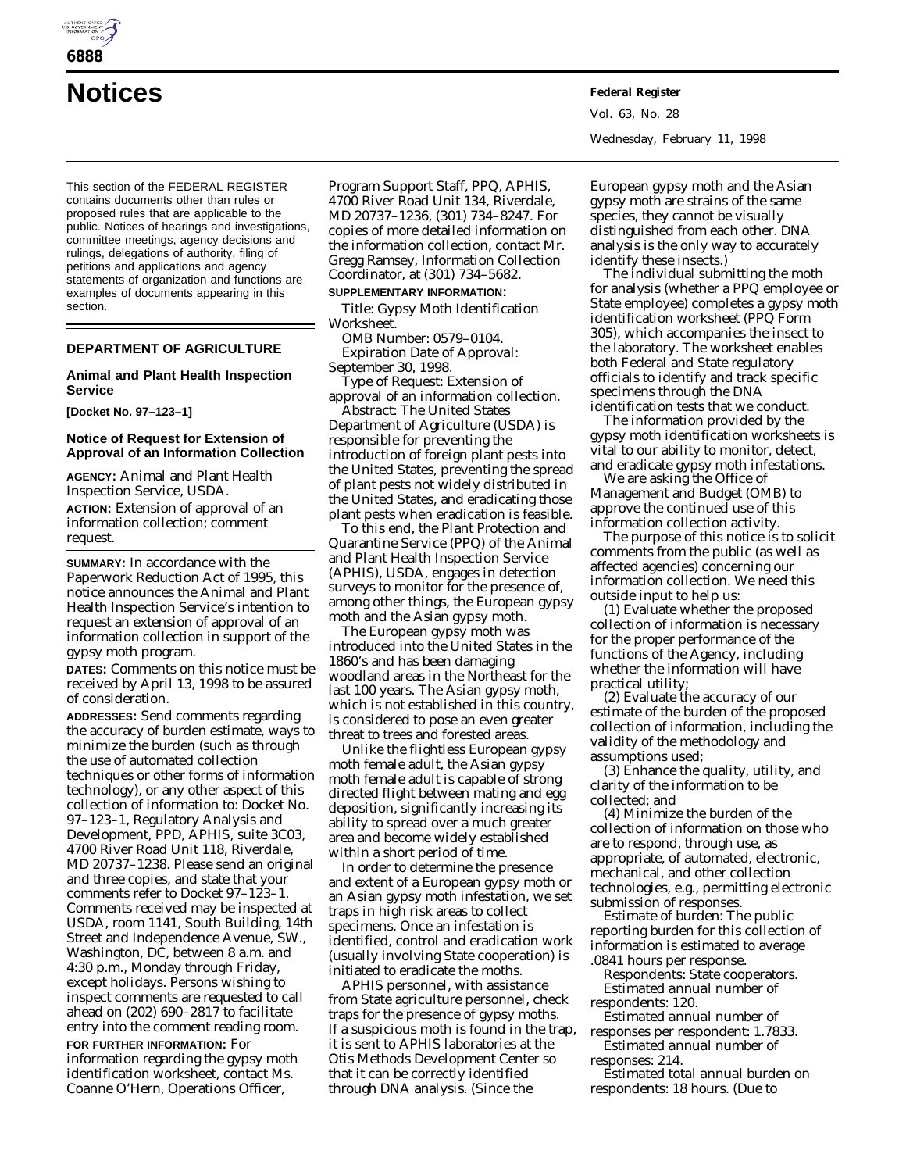

**Notices Federal Register**

This section of the FEDERAL REGISTER contains documents other than rules or proposed rules that are applicable to the public. Notices of hearings and investigations, committee meetings, agency decisions and rulings, delegations of authority, filing of petitions and applications and agency statements of organization and functions are examples of documents appearing in this section.

## **DEPARTMENT OF AGRICULTURE**

### **Animal and Plant Health Inspection Service**

**[Docket No. 97–123–1]**

# **Notice of Request for Extension of Approval of an Information Collection**

**AGENCY:** Animal and Plant Health Inspection Service, USDA. **ACTION:** Extension of approval of an information collection; comment request.

**SUMMARY:** In accordance with the Paperwork Reduction Act of 1995, this notice announces the Animal and Plant Health Inspection Service's intention to request an extension of approval of an information collection in support of the gypsy moth program.

**DATES:** Comments on this notice must be received by April 13, 1998 to be assured of consideration.

**ADDRESSES:** Send comments regarding the accuracy of burden estimate, ways to minimize the burden (such as through the use of automated collection techniques or other forms of information technology), or any other aspect of this collection of information to: Docket No. 97–123–1, Regulatory Analysis and Development, PPD, APHIS, suite 3C03, 4700 River Road Unit 118, Riverdale, MD 20737–1238. Please send an original and three copies, and state that your comments refer to Docket 97–123–1. Comments received may be inspected at USDA, room 1141, South Building, 14th Street and Independence Avenue, SW., Washington, DC, between 8 a.m. and 4:30 p.m., Monday through Friday, except holidays. Persons wishing to inspect comments are requested to call ahead on (202) 690–2817 to facilitate entry into the comment reading room. **FOR FURTHER INFORMATION:** For information regarding the gypsy moth

identification worksheet, contact Ms. Coanne O'Hern, Operations Officer,

Program Support Staff, PPQ, APHIS, 4700 River Road Unit 134, Riverdale, MD 20737–1236, (301) 734–8247. For copies of more detailed information on the information collection, contact Mr. Gregg Ramsey, Information Collection Coordinator, at (301) 734–5682.

**SUPPLEMENTARY INFORMATION:** *Title:* Gypsy Moth Identification Worksheet.

*OMB Number:* 0579–0104. *Expiration Date of Approval:* September 30, 1998.

*Type of Request:* Extension of approval of an information collection.

*Abstract:* The United States Department of Agriculture (USDA) is responsible for preventing the introduction of foreign plant pests into the United States, preventing the spread of plant pests not widely distributed in the United States, and eradicating those plant pests when eradication is feasible.

To this end, the Plant Protection and Quarantine Service (PPQ) of the Animal and Plant Health Inspection Service (APHIS), USDA, engages in detection surveys to monitor for the presence of, among other things, the European gypsy moth and the Asian gypsy moth.

The European gypsy moth was introduced into the United States in the 1860's and has been damaging woodland areas in the Northeast for the last 100 years. The Asian gypsy moth, which is not established in this country, is considered to pose an even greater threat to trees and forested areas.

Unlike the flightless European gypsy moth female adult, the Asian gypsy moth female adult is capable of strong directed flight between mating and egg deposition, significantly increasing its ability to spread over a much greater area and become widely established within a short period of time.

In order to determine the presence and extent of a European gypsy moth or an Asian gypsy moth infestation, we set traps in high risk areas to collect specimens. Once an infestation is identified, control and eradication work (usually involving State cooperation) is initiated to eradicate the moths.

APHIS personnel, with assistance from State agriculture personnel, check traps for the presence of gypsy moths. If a suspicious moth is found in the trap, it is sent to APHIS laboratories at the Otis Methods Development Center so that it can be correctly identified through DNA analysis. (Since the

Vol. 63, No. 28 Wednesday, February 11, 1998

European gypsy moth and the Asian gypsy moth are strains of the same species, they cannot be visually distinguished from each other. DNA analysis is the only way to accurately identify these insects.)

The individual submitting the moth for analysis (whether a PPQ employee or State employee) completes a gypsy moth identification worksheet (PPQ Form 305), which accompanies the insect to the laboratory. The worksheet enables both Federal and State regulatory officials to identify and track specific specimens through the DNA identification tests that we conduct.

The information provided by the gypsy moth identification worksheets is vital to our ability to monitor, detect, and eradicate gypsy moth infestations.

We are asking the Office of Management and Budget (OMB) to approve the continued use of this information collection activity.

The purpose of this notice is to solicit comments from the public (as well as affected agencies) concerning our information collection. We need this outside input to help us:

(1) Evaluate whether the proposed collection of information is necessary for the proper performance of the functions of the Agency, including whether the information will have practical utility;

(2) Evaluate the accuracy of our estimate of the burden of the proposed collection of information, including the validity of the methodology and assumptions used;

(3) Enhance the quality, utility, and clarity of the information to be collected; and

(4) Minimize the burden of the collection of information on those who are to respond, through use, as appropriate, of automated, electronic, mechanical, and other collection technologies, e.g., permitting electronic submission of responses.

*Estimate of burden:* The public reporting burden for this collection of information is estimated to average .0841 hours per response.

*Respondents:* State cooperators. *Estimated annual number of respondents:* 120.

*Estimated annual number of responses per respondent:* 1.7833. *Estimated annual number of*

*responses:* 214.

*Estimated total annual burden on respondents:* 18 hours. (Due to